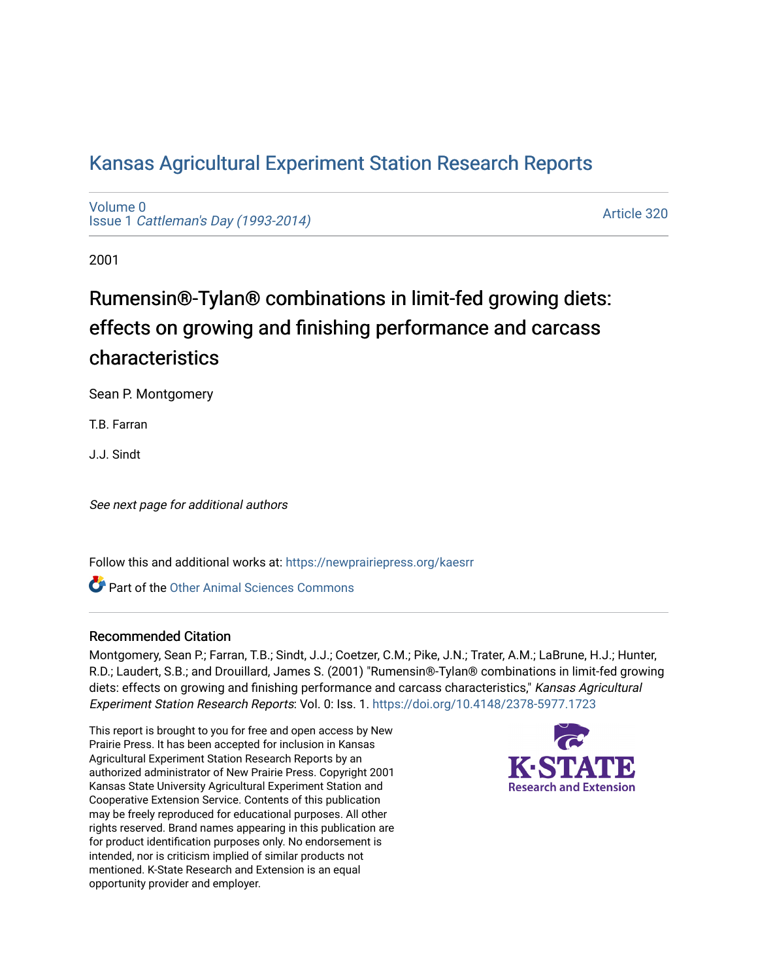## [Kansas Agricultural Experiment Station Research Reports](https://newprairiepress.org/kaesrr)

[Volume 0](https://newprairiepress.org/kaesrr/vol0) Issue 1 [Cattleman's Day \(1993-2014\)](https://newprairiepress.org/kaesrr/vol0/iss1) 

[Article 320](https://newprairiepress.org/kaesrr/vol0/iss1/320) 

2001

# Rumensin®-Tylan® combinations in limit-fed growing diets: effects on growing and finishing performance and carcass characteristics

Sean P. Montgomery

T.B. Farran

J.J. Sindt

See next page for additional authors

Follow this and additional works at: [https://newprairiepress.org/kaesrr](https://newprairiepress.org/kaesrr?utm_source=newprairiepress.org%2Fkaesrr%2Fvol0%2Fiss1%2F320&utm_medium=PDF&utm_campaign=PDFCoverPages) 

**C** Part of the [Other Animal Sciences Commons](http://network.bepress.com/hgg/discipline/82?utm_source=newprairiepress.org%2Fkaesrr%2Fvol0%2Fiss1%2F320&utm_medium=PDF&utm_campaign=PDFCoverPages)

#### Recommended Citation

Montgomery, Sean P.; Farran, T.B.; Sindt, J.J.; Coetzer, C.M.; Pike, J.N.; Trater, A.M.; LaBrune, H.J.; Hunter, R.D.; Laudert, S.B.; and Drouillard, James S. (2001) "Rumensin®-Tylan® combinations in limit-fed growing diets: effects on growing and finishing performance and carcass characteristics," Kansas Agricultural Experiment Station Research Reports: Vol. 0: Iss. 1. <https://doi.org/10.4148/2378-5977.1723>

This report is brought to you for free and open access by New Prairie Press. It has been accepted for inclusion in Kansas Agricultural Experiment Station Research Reports by an authorized administrator of New Prairie Press. Copyright 2001 Kansas State University Agricultural Experiment Station and Cooperative Extension Service. Contents of this publication may be freely reproduced for educational purposes. All other rights reserved. Brand names appearing in this publication are for product identification purposes only. No endorsement is intended, nor is criticism implied of similar products not mentioned. K-State Research and Extension is an equal opportunity provider and employer.

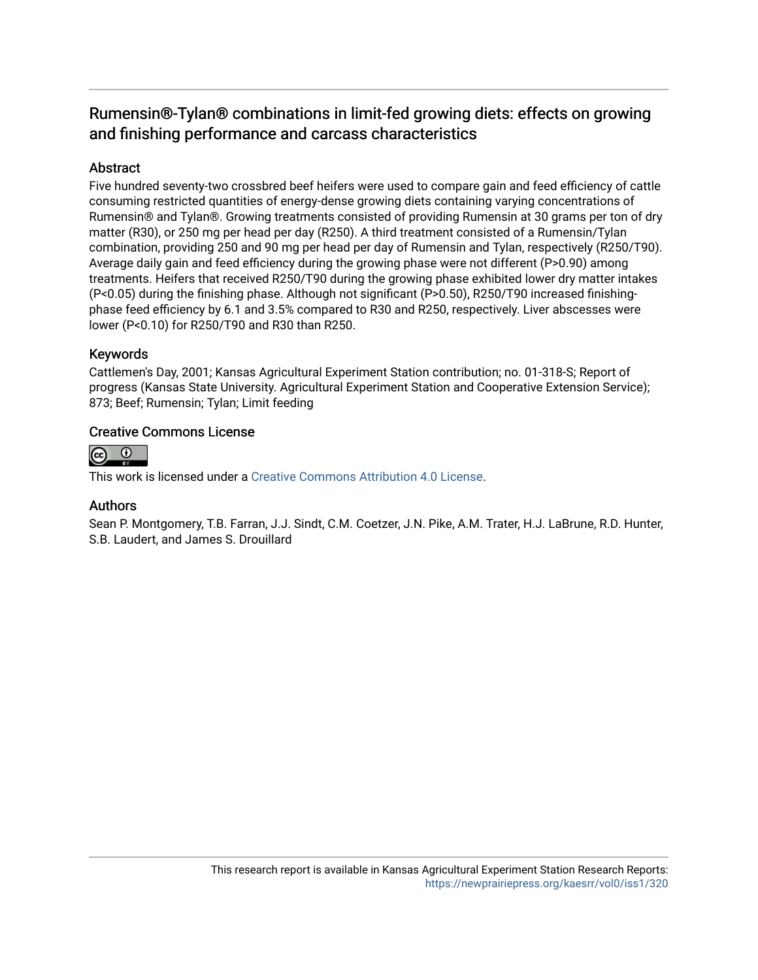### Rumensin®-Tylan® combinations in limit-fed growing diets: effects on growing and finishing performance and carcass characteristics

#### Abstract

Five hundred seventy-two crossbred beef heifers were used to compare gain and feed efficiency of cattle consuming restricted quantities of energy-dense growing diets containing varying concentrations of Rumensin® and Tylan®. Growing treatments consisted of providing Rumensin at 30 grams per ton of dry matter (R30), or 250 mg per head per day (R250). A third treatment consisted of a Rumensin/Tylan combination, providing 250 and 90 mg per head per day of Rumensin and Tylan, respectively (R250/T90). Average daily gain and feed efficiency during the growing phase were not different (P>0.90) among treatments. Heifers that received R250/T90 during the growing phase exhibited lower dry matter intakes (P<0.05) during the finishing phase. Although not significant (P>0.50), R250/T90 increased finishingphase feed efficiency by 6.1 and 3.5% compared to R30 and R250, respectively. Liver abscesses were lower (P<0.10) for R250/T90 and R30 than R250.

#### Keywords

Cattlemen's Day, 2001; Kansas Agricultural Experiment Station contribution; no. 01-318-S; Report of progress (Kansas State University. Agricultural Experiment Station and Cooperative Extension Service); 873; Beef; Rumensin; Tylan; Limit feeding

#### Creative Commons License



This work is licensed under a [Creative Commons Attribution 4.0 License](https://creativecommons.org/licenses/by/4.0/).

#### Authors

Sean P. Montgomery, T.B. Farran, J.J. Sindt, C.M. Coetzer, J.N. Pike, A.M. Trater, H.J. LaBrune, R.D. Hunter, S.B. Laudert, and James S. Drouillard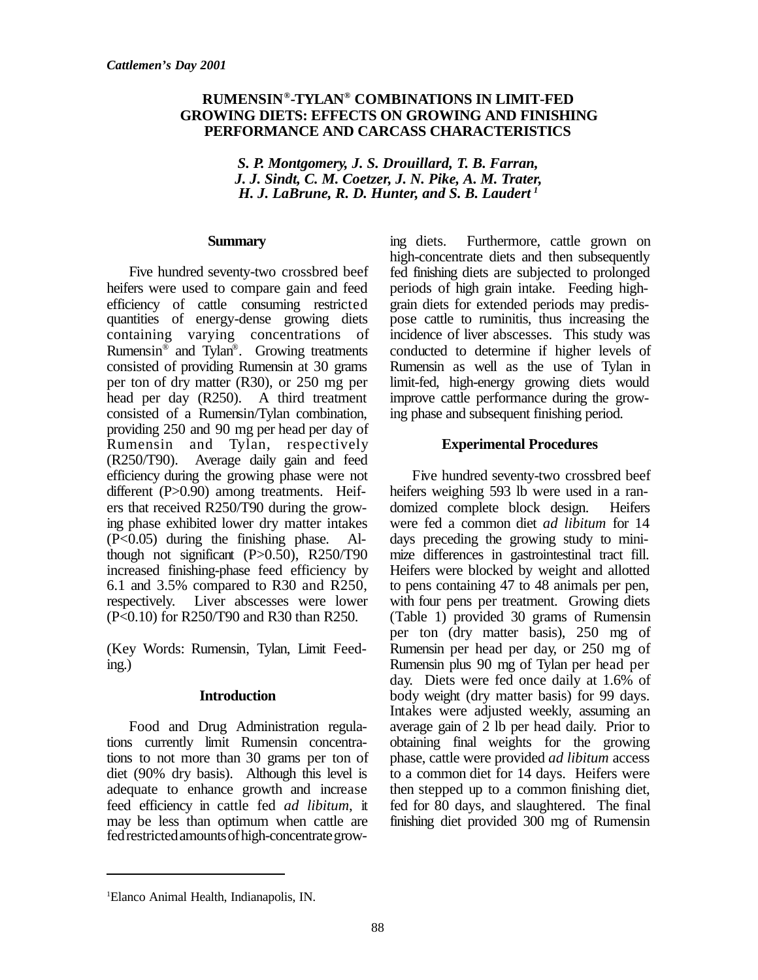#### **RUMENSIN® -TYLAN® COMBINATIONS IN LIMIT-FED GROWING DIETS: EFFECTS ON GROWING AND FINISHING PERFORMANCE AND CARCASS CHARACTERISTICS**

 *S. P. Montgomery, J. S. Drouillard, T. B. Farran, J. J. Sindt, C. M. Coetzer, J. N. Pike, A. M. Trater, H. J. LaBrune, R. D. Hunter, and S. B. Laudert <sup>1</sup>*

#### **Summary**

Five hundred seventy-two crossbred beef heifers were used to compare gain and feed efficiency of cattle consuming restricted quantities of energy-dense growing diets containing varying concentrations of Rumensin® and Tylan® . Growing treatments consisted of providing Rumensin at 30 grams per ton of dry matter (R30), or 250 mg per head per day (R250). A third treatment consisted of a Rumensin/Tylan combination, providing 250 and 90 mg per head per day of Rumensin and Tylan, respectively (R250/T90). Average daily gain and feed efficiency during the growing phase were not different (P>0.90) among treatments. Heifers that received R250/T90 during the growing phase exhibited lower dry matter intakes (P<0.05) during the finishing phase. Although not significant  $(P>0.50)$ , R250/T90 increased finishing-phase feed efficiency by 6.1 and 3.5% compared to R30 and R250, respectively. Liver abscesses were lower (P<0.10) for R250/T90 and R30 than R250.

(Key Words: Rumensin, Tylan, Limit Feeding.)

#### **Introduction**

Food and Drug Administration regulations currently limit Rumensin concentrations to not more than 30 grams per ton of diet (90% dry basis). Although this level is adequate to enhance growth and increase feed efficiency in cattle fed *ad libitum*, it may be less than optimum when cattle are fedrestricted amounts of high-concentrate growing diets. Furthermore, cattle grown on high-concentrate diets and then subsequently fed finishing diets are subjected to prolonged periods of high grain intake. Feeding highgrain diets for extended periods may predispose cattle to ruminitis, thus increasing the incidence of liver abscesses. This study was conducted to determine if higher levels of Rumensin as well as the use of Tylan in limit-fed, high-energy growing diets would improve cattle performance during the growing phase and subsequent finishing period.

#### **Experimental Procedures**

Five hundred seventy-two crossbred beef heifers weighing 593 lb were used in a randomized complete block design. Heifers were fed a common diet *ad libitum* for 14 days preceding the growing study to minimize differences in gastrointestinal tract fill. Heifers were blocked by weight and allotted to pens containing 47 to 48 animals per pen, with four pens per treatment. Growing diets (Table 1) provided 30 grams of Rumensin per ton (dry matter basis), 250 mg of Rumensin per head per day, or 250 mg of Rumensin plus 90 mg of Tylan per head per day. Diets were fed once daily at 1.6% of body weight (dry matter basis) for 99 days. Intakes were adjusted weekly, assuming an average gain of 2 lb per head daily. Prior to obtaining final weights for the growing phase, cattle were provided *ad libitum* access to a common diet for 14 days. Heifers were then stepped up to a common finishing diet, fed for 80 days, and slaughtered. The final finishing diet provided 300 mg of Rumensin

<sup>1</sup>Elanco Animal Health, Indianapolis, IN.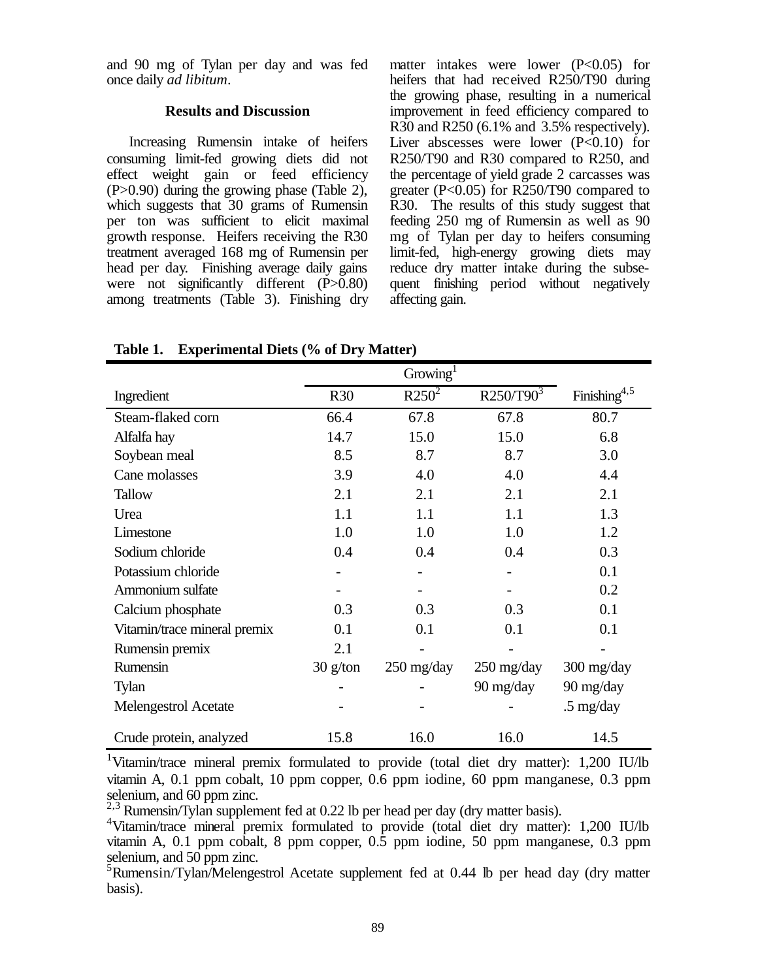and 90 mg of Tylan per day and was fed once daily *ad libitum*.

#### **Results and Discussion**

Increasing Rumensin intake of heifers consuming limit-fed growing diets did not effect weight gain or feed efficiency (P>0.90) during the growing phase (Table 2), which suggests that 30 grams of Rumensin per ton was sufficient to elicit maximal growth response. Heifers receiving the R30 treatment averaged 168 mg of Rumensin per head per day. Finishing average daily gains were not significantly different (P>0.80) among treatments (Table 3). Finishing dry matter intakes were lower  $(P<0.05)$  for heifers that had received R250/T90 during the growing phase, resulting in a numerical improvement in feed efficiency compared to R30 and R250 (6.1% and 3.5% respectively). Liver abscesses were lower  $(P<0.10)$  for R250/T90 and R30 compared to R250, and the percentage of yield grade 2 carcasses was greater (P<0.05) for R250/T90 compared to R30. The results of this study suggest that feeding 250 mg of Rumensin as well as 90 mg of Tylan per day to heifers consuming limit-fed, high-energy growing diets may reduce dry matter intake during the subsequent finishing period without negatively affecting gain.

|                              |            | Group <sup>1</sup>                 |                                    |                          |
|------------------------------|------------|------------------------------------|------------------------------------|--------------------------|
| Ingredient                   | R30        | $R250^2$                           | R250/T90 <sup>3</sup>              | Finishing <sup>4,5</sup> |
| Steam-flaked corn            | 66.4       | 67.8                               | 67.8                               | 80.7                     |
| Alfalfa hay                  | 14.7       | 15.0                               | 15.0                               | 6.8                      |
| Soybean meal                 | 8.5        | 8.7                                | 8.7                                | 3.0                      |
| Cane molasses                | 3.9        | 4.0                                | 4.0                                | 4.4                      |
| <b>Tallow</b>                | 2.1        | 2.1                                | 2.1                                | 2.1                      |
| Urea                         | 1.1        | 1.1                                | 1.1                                | 1.3                      |
| Limestone                    | 1.0        | 1.0                                | 1.0                                | 1.2                      |
| Sodium chloride              | 0.4        | 0.4                                | 0.4                                | 0.3                      |
| Potassium chloride           |            |                                    |                                    | 0.1                      |
| Ammonium sulfate             |            |                                    |                                    | 0.2                      |
| Calcium phosphate            | 0.3        | 0.3                                | 0.3                                | 0.1                      |
| Vitamin/trace mineral premix | 0.1        | 0.1                                | 0.1                                | 0.1                      |
| Rumensin premix              | 2.1        |                                    |                                    |                          |
| Rumensin                     | $30$ g/ton | $250 \frac{\text{mg}}{\text{day}}$ | $250 \frac{\text{mg}}{\text{day}}$ | 300 mg/day               |
| Tylan                        |            |                                    | 90 mg/day                          | 90 mg/day                |
| Melengestrol Acetate         |            |                                    |                                    | $.5$ mg/day              |
| Crude protein, analyzed      | 15.8       | 16.0                               | 16.0                               | 14.5                     |

**Table 1. Experimental Diets (% of Dry Matter)**

<sup>1</sup>Vitamin/trace mineral premix formulated to provide (total diet dry matter): 1,200 IU/lb vitamin A, 0.1 ppm cobalt, 10 ppm copper, 0.6 ppm iodine, 60 ppm manganese, 0.3 ppm selenium, and 60 ppm zinc.

 $^{2,3}$  Rumensin/Tylan supplement fed at 0.22 lb per head per day (dry matter basis).

<sup>4</sup>Vitamin/trace mineral premix formulated to provide (total diet dry matter): 1,200 IU/lb vitamin A, 0.1 ppm cobalt, 8 ppm copper, 0.5 ppm iodine, 50 ppm manganese, 0.3 ppm selenium, and 50 ppm zinc.

 $5$ Rumensin/Tylan/Melengestrol Acetate supplement fed at 0.44 lb per head day (dry matter basis).